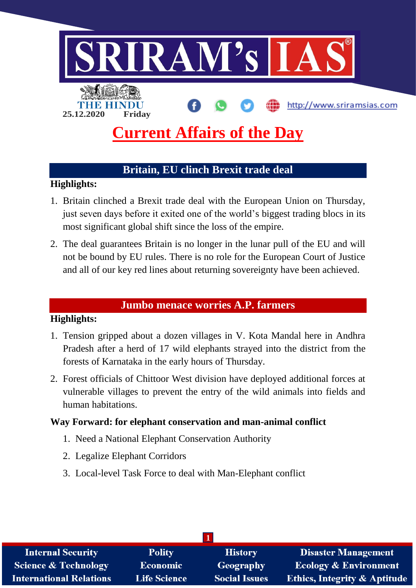

# **Britain, EU clinch Brexit trade deal**

## **Highlights:**

- 1. Britain clinched a Brexit trade deal with the European Union on Thursday, just seven days before it exited one of the world's biggest trading blocs in its most significant global shift since the loss of the empire.
- 2. The deal guarantees Britain is no longer in the lunar pull of the EU and will not be bound by EU rules. There is no role for the European Court of Justice and all of our key red lines about returning sovereignty have been achieved.

#### **Jumbo menace worries A.P. farmers**

#### **Highlights:**

- 1. Tension gripped about a dozen villages in V. Kota Mandal here in Andhra Pradesh after a herd of 17 wild elephants strayed into the district from the forests of Karnataka in the early hours of Thursday.
- 2. Forest officials of Chittoor West division have deployed additional forces at vulnerable villages to prevent the entry of the wild animals into fields and human habitations.

#### **Way Forward: for elephant conservation and man-animal conflict**

- 1. Need a National Elephant Conservation Authority
- 2. Legalize Elephant Corridors
- 3. Local-level Task Force to deal with Man-Elephant conflict

| <b>Internal Security</b>        | <b>Polity</b>       | <b>History</b>       | <b>Disaster Management</b>              |  |  |  |
|---------------------------------|---------------------|----------------------|-----------------------------------------|--|--|--|
| <b>Science &amp; Technology</b> | Economic            | Geography            | <b>Ecology &amp; Environment</b>        |  |  |  |
| <b>International Relations</b>  | <b>Life Science</b> | <b>Social Issues</b> | <b>Ethics, Integrity &amp; Aptitude</b> |  |  |  |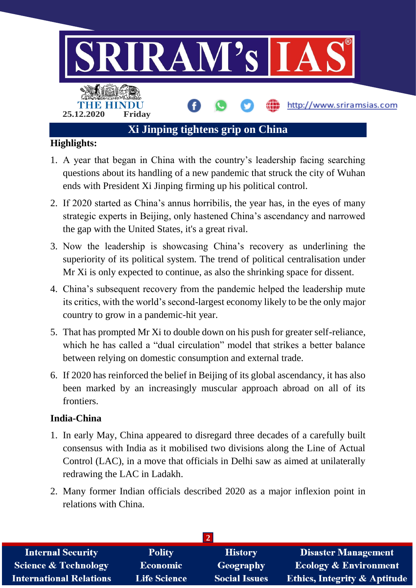

## **Highlights:**

- 1. A year that began in China with the country's leadership facing searching questions about its handling of a new pandemic that struck the city of Wuhan ends with President Xi Jinping firming up his political control.
- 2. If 2020 started as China's annus horribilis, the year has, in the eyes of many strategic experts in Beijing, only hastened China's ascendancy and narrowed the gap with the United States, it's a great rival.
- 3. Now the leadership is showcasing China's recovery as underlining the superiority of its political system. The trend of political centralisation under Mr Xi is only expected to continue, as also the shrinking space for dissent.
- 4. China's subsequent recovery from the pandemic helped the leadership mute its critics, with the world's second-largest economy likely to be the only major country to grow in a pandemic-hit year.
- 5. That has prompted Mr Xi to double down on his push for greater self-reliance, which he has called a "dual circulation" model that strikes a better balance between relying on domestic consumption and external trade.
- 6. If 2020 has reinforced the belief in Beijing of its global ascendancy, it has also been marked by an increasingly muscular approach abroad on all of its frontiers.

## **India-China**

- 1. In early May, China appeared to disregard three decades of a carefully built consensus with India as it mobilised two divisions along the Line of Actual Control (LAC), in a move that officials in Delhi saw as aimed at unilaterally redrawing the LAC in Ladakh.
- 2. Many former Indian officials described 2020 as a major inflexion point in relations with China.

| <b>Internal Security</b>        | <b>Polity</b>       | <b>History</b>       | <b>Disaster Management</b>              |  |  |  |
|---------------------------------|---------------------|----------------------|-----------------------------------------|--|--|--|
| <b>Science &amp; Technology</b> | Economic            | Geography            | <b>Ecology &amp; Environment</b>        |  |  |  |
| <b>International Relations</b>  | <b>Life Science</b> | <b>Social Issues</b> | <b>Ethics, Integrity &amp; Aptitude</b> |  |  |  |